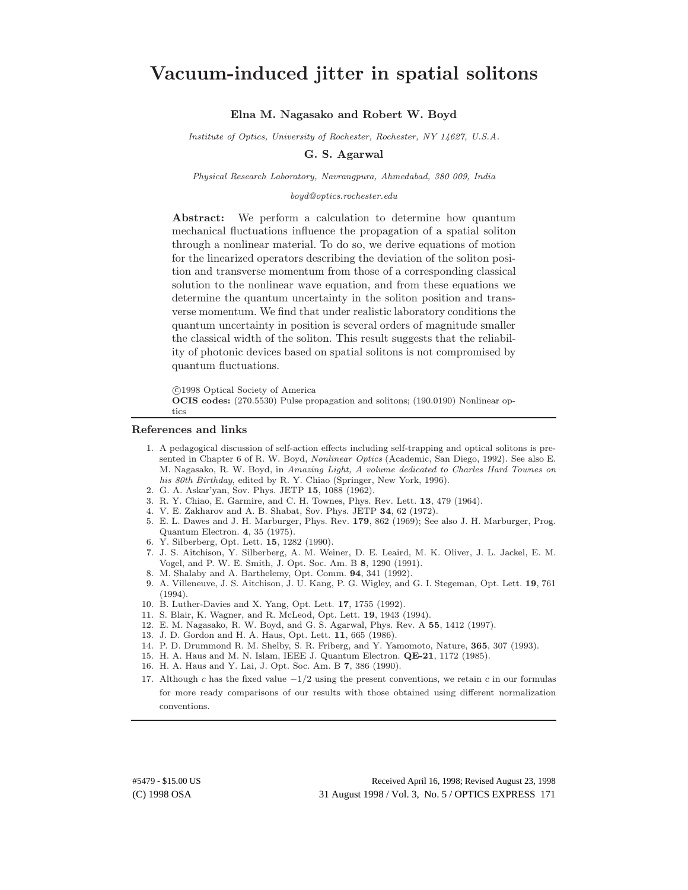# Vacuum-induced jitter in spatial solitons

Elna M. Nagasako and Robert W. Boyd

Institute of Optics, University of Rochester, Rochester, NY 14627, U.S.A.

# G. S. Agarwal

Physical Research Laboratory, Navrangpura, Ahmedabad, 380 009, India

### boyd@optics.rochester.edu

Abstract: We perform a calculation to determine how quantum mechanical fluctuations influence the propagation of a spatial soliton through a nonlinear material. To do so, we derive equations of motion for the linearized operators describing the deviation of the soliton position and transverse momentum from those of a corresponding classical solution to the nonlinear wave equation, and from these equations we determine the quantum uncertainty in the soliton position and transverse momentum. We find that under realistic laboratory conditions the quantum uncertainty in position is several orders of magnitude smaller the classical width of the soliton. This result suggests that the reliability of photonic devices based on spatial solitons is not compromised by quantum fluctuations.

c 1998 Optical Society of America

OCIS codes: (270.5530) Pulse propagation and solitons; (190.0190) Nonlinear optics

#### References and links

- 1. A pedagogical discussion of self-action effects including self-trapping and optical solitons is presented in Chapter 6 of R. W. Boyd, Nonlinear Optics (Academic, San Diego, 1992). See also E. M. Nagasako, R. W. Boyd, in Amazing Light, A volume dedicated to Charles Hard Townes on his 80th Birthday, edited by R. Y. Chiao (Springer, New York, 1996).
- 2. G. A. Askar'yan, Sov. Phys. JETP 15, 1088 (1962).
- 3. R. Y. Chiao, E. Garmire, and C. H. Townes, Phys. Rev. Lett. 13, 479 (1964).
- 4. V. E. Zakharov and A. B. Shabat, Sov. Phys. JETP 34, 62 (1972).
- 5. E. L. Dawes and J. H. Marburger, Phys. Rev. 179, 862 (1969); See also J. H. Marburger, Prog. Quantum Electron. 4, 35 (1975).
- 6. Y. Silberberg, Opt. Lett. 15, 1282 (1990).
- 7. J. S. Aitchison, Y. Silberberg, A. M. Weiner, D. E. Leaird, M. K. Oliver, J. L. Jackel, E. M. Vogel, and P. W. E. Smith, J. Opt. Soc. Am. B 8, 1290 (1991).
- 8. M. Shalaby and A. Barthelemy, Opt. Comm. 94, 341 (1992).
- 9. A. Villeneuve, J. S. Aitchison, J. U. Kang, P. G. Wigley, and G. I. Stegeman, Opt. Lett. 19, 761 (1994).
- 10. B. Luther-Davies and X. Yang, Opt. Lett. 17, 1755 (1992).
- 11. S. Blair, K. Wagner, and R. McLeod, Opt. Lett. 19, 1943 (1994).
- 12. E. M. Nagasako, R. W. Boyd, and G. S. Agarwal, Phys. Rev. A 55, 1412 (1997).
- 13. J. D. Gordon and H. A. Haus, Opt. Lett. 11, 665 (1986).
- 14. P. D. Drummond R. M. Shelby, S. R. Friberg, and Y. Yamomoto, Nature, 365, 307 (1993).
- 15. H. A. Haus and M. N. Islam, IEEE J. Quantum Electron. QE-21, 1172 (1985).
- 16. H. A. Haus and Y. Lai, J. Opt. Soc. Am. B 7, 386 (1990).
- 17. Although c has the fixed value  $-1/2$  using the present conventions, we retain c in our formulas for more ready comparisons of our results with those obtained using different normalization conventions.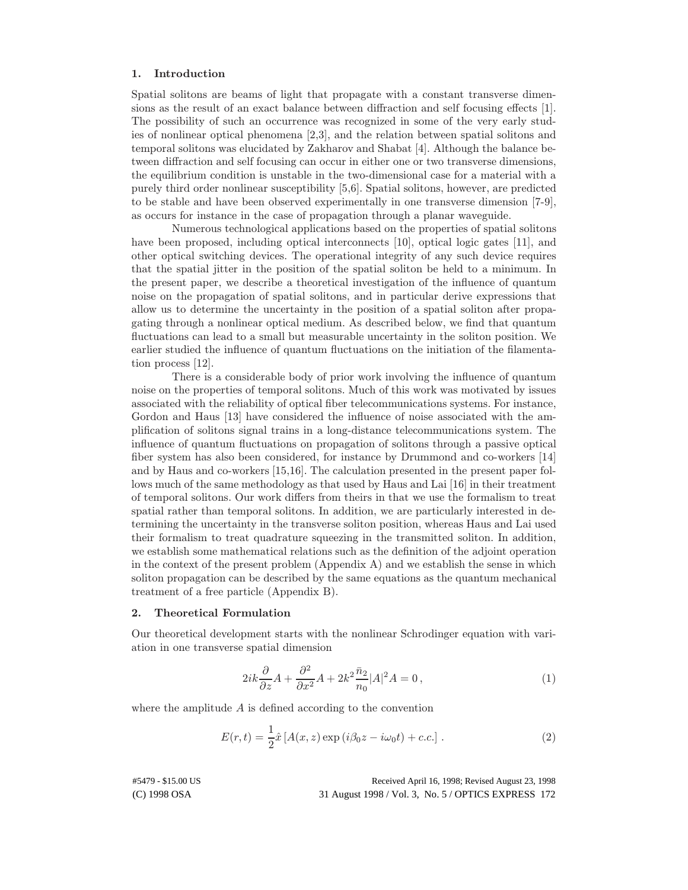# 1. Introduction

Spatial solitons are beams of light that propagate with a constant transverse dimensions as the result of an exact balance between diffraction and self focusing effects [1]. The possibility of such an occurrence was recognized in some of the very early studies of nonlinear optical phenomena [2,3], and the relation between spatial solitons and temporal solitons was elucidated by Zakharov and Shabat [4]. Although the balance between diffraction and self focusing can occur in either one or two transverse dimensions, the equilibrium condition is unstable in the two-dimensional case for a material with a purely third order nonlinear susceptibility [5,6]. Spatial solitons, however, are predicted to be stable and have been observed experimentally in one transverse dimension [7-9], as occurs for instance in the case of propagation through a planar waveguide.

Numerous technological applications based on the properties of spatial solitons have been proposed, including optical interconnects [10], optical logic gates [11], and other optical switching devices. The operational integrity of any such device requires that the spatial jitter in the position of the spatial soliton be held to a minimum. In the present paper, we describe a theoretical investigation of the influence of quantum noise on the propagation of spatial solitons, and in particular derive expressions that allow us to determine the uncertainty in the position of a spatial soliton after propagating through a nonlinear optical medium. As described below, we find that quantum fluctuations can lead to a small but measurable uncertainty in the soliton position. We earlier studied the influence of quantum fluctuations on the initiation of the filamentation process [12].

There is a considerable body of prior work involving the influence of quantum noise on the properties of temporal solitons. Much of this work was motivated by issues associated with the reliability of optical fiber telecommunications systems. For instance, Gordon and Haus [13] have considered the influence of noise associated with the amplification of solitons signal trains in a long-distance telecommunications system. The influence of quantum fluctuations on propagation of solitons through a passive optical fiber system has also been considered, for instance by Drummond and co-workers [14] and by Haus and co-workers [15,16]. The calculation presented in the present paper follows much of the same methodology as that used by Haus and Lai [16] in their treatment of temporal solitons. Our work differs from theirs in that we use the formalism to treat spatial rather than temporal solitons. In addition, we are particularly interested in determining the uncertainty in the transverse soliton position, whereas Haus and Lai used their formalism to treat quadrature squeezing in the transmitted soliton. In addition, we establish some mathematical relations such as the definition of the adjoint operation in the context of the present problem (Appendix A) and we establish the sense in which soliton propagation can be described by the same equations as the quantum mechanical treatment of a free particle (Appendix B).

### 2. Theoretical Formulation

Our theoretical development starts with the nonlinear Schrodinger equation with variation in one transverse spatial dimension

$$
2ik\frac{\partial}{\partial z}A + \frac{\partial^2}{\partial x^2}A + 2k^2\frac{\bar{n}_2}{n_0}|A|^2A = 0,
$$
\n(1)

where the amplitude A is defined according to the convention

$$
E(r,t) = \frac{1}{2}\hat{x}[A(x,z)\exp(i\beta_0 z - i\omega_0 t) + c.c.]
$$
 (2)

#5479 - \$15.00 US Received April 16, 1998; Revised August 23, 1998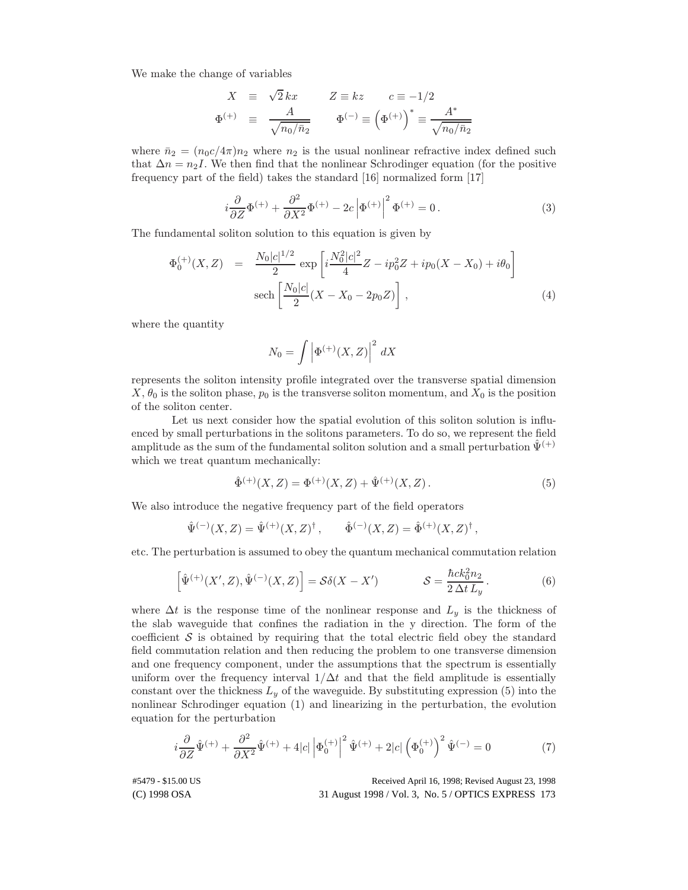We make the change of variables

$$
X = \sqrt{2} kx \qquad Z \equiv kz \qquad c \equiv -1/2
$$
  

$$
\Phi^{(+)} = \frac{A}{\sqrt{n_0/n_2}} \qquad \Phi^{(-)} \equiv (\Phi^{(+)})^* \equiv \frac{A^*}{\sqrt{n_0/n_2}}
$$

where  $\bar{n}_2 = (n_0c/4\pi)n_2$  where  $n_2$  is the usual nonlinear refractive index defined such that  $\Delta n = n_2 I$ . We then find that the nonlinear Schrodinger equation (for the positive frequency part of the field) takes the standard [16] normalized form [17]

$$
i\frac{\partial}{\partial Z}\Phi^{(+)} + \frac{\partial^2}{\partial X^2}\Phi^{(+)} - 2c\left|\Phi^{(+)}\right|^2\Phi^{(+)} = 0.
$$
 (3)

The fundamental soliton solution to this equation is given by

$$
\Phi_0^{(+)}(X, Z) = \frac{N_0|c|^{1/2}}{2} \exp\left[i\frac{N_0^2|c|^2}{4}Z - ip_0^2 Z + ip_0(X - X_0) + i\theta_0\right]
$$
  
sech $\left[\frac{N_0|c|}{2}(X - X_0 - 2p_0 Z)\right]$ , (4)

where the quantity

$$
N_0 = \int \left| \Phi^{(+)}(X,Z) \right|^2 dX
$$

represents the soliton intensity profile integrated over the transverse spatial dimension  $X, \theta_0$  is the soliton phase,  $p_0$  is the transverse soliton momentum, and  $X_0$  is the position of the soliton center.

Let us next consider how the spatial evolution of this soliton solution is influenced by small perturbations in the solitons parameters. To do so, we represent the field amplitude as the sum of the fundamental soliton solution and a small perturbation  $\Psi^{(+)}$ which we treat quantum mechanically:

$$
\hat{\Phi}^{(+)}(X,Z) = \Phi^{(+)}(X,Z) + \hat{\Psi}^{(+)}(X,Z). \tag{5}
$$

We also introduce the negative frequency part of the field operators

$$
\hat{\Psi}^{(-)}(X,Z) = \hat{\Psi}^{(+)}(X,Z)^{\dagger}, \qquad \hat{\Phi}^{(-)}(X,Z) = \hat{\Phi}^{(+)}(X,Z)^{\dagger},
$$

etc. The perturbation is assumed to obey the quantum mechanical commutation relation

$$
\left[\hat{\Psi}^{(+)}(X',Z),\hat{\Psi}^{(-)}(X,Z)\right] = \mathcal{S}\delta(X-X') \qquad \qquad \mathcal{S} = \frac{\hbar ck_0^2 n_2}{2\,\Delta t\,L_y} \,. \tag{6}
$$

where  $\Delta t$  is the response time of the nonlinear response and  $L_y$  is the thickness of the slab waveguide that confines the radiation in the y direction. The form of the coefficient  $\mathcal S$  is obtained by requiring that the total electric field obey the standard field commutation relation and then reducing the problem to one transverse dimension and one frequency component, under the assumptions that the spectrum is essentially uniform over the frequency interval  $1/\Delta t$  and that the field amplitude is essentially constant over the thickness  $L_y$  of the waveguide. By substituting expression (5) into the nonlinear Schrodinger equation (1) and linearizing in the perturbation, the evolution equation for the perturbation

$$
i\frac{\partial}{\partial Z}\hat{\Psi}^{(+)} + \frac{\partial^2}{\partial X^2}\hat{\Psi}^{(+)} + 4|c|\left|\Phi_0^{(+)}\right|^2\hat{\Psi}^{(+)} + 2|c|\left(\Phi_0^{(+)}\right)^2\hat{\Psi}^{(-)} = 0
$$
 (7)

#5479 - \$15.00 US Received April 16, 1998; Revised August 23, 1998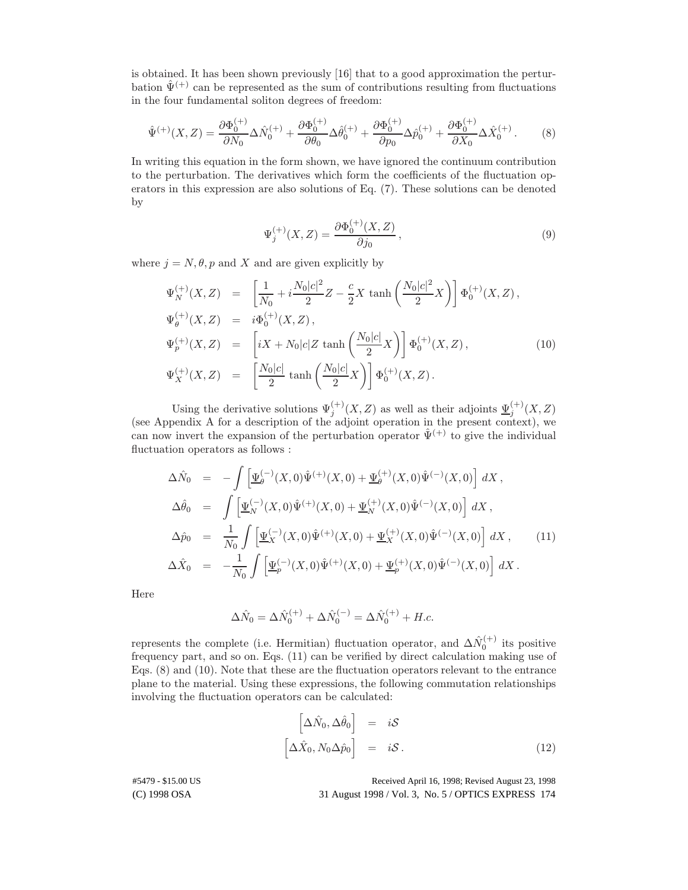is obtained. It has been shown previously [16] that to a good approximation the perturbation  $\hat{\Psi}^{(+)}$  can be represented as the sum of contributions resulting from fluctuations in the four fundamental soliton degrees of freedom:

$$
\hat{\Psi}^{(+)}(X,Z) = \frac{\partial \Phi_0^{(+)}}{\partial N_0} \Delta \hat{N}_0^{(+)} + \frac{\partial \Phi_0^{(+)}}{\partial \theta_0} \Delta \hat{\theta}_0^{(+)} + \frac{\partial \Phi_0^{(+)}}{\partial p_0} \Delta \hat{p}_0^{(+)} + \frac{\partial \Phi_0^{(+)}}{\partial X_0} \Delta \hat{X}_0^{(+)}.
$$
 (8)

In writing this equation in the form shown, we have ignored the continuum contribution to the perturbation. The derivatives which form the coefficients of the fluctuation operators in this expression are also solutions of Eq. (7). These solutions can be denoted by

$$
\Psi_j^{(+)}(X,Z) = \frac{\partial \Phi_0^{(+)}(X,Z)}{\partial j_0},\tag{9}
$$

where  $j = N, \theta, p$  and X and are given explicitly by

$$
\Psi_N^{(+)}(X, Z) = \left[\frac{1}{N_0} + i\frac{N_0|c|^2}{2}Z - \frac{c}{2}X\tanh\left(\frac{N_0|c|^2}{2}X\right)\right]\Phi_0^{(+)}(X, Z),
$$
  
\n
$$
\Psi_\theta^{(+)}(X, Z) = i\Phi_0^{(+)}(X, Z),
$$
  
\n
$$
\Psi_p^{(+)}(X, Z) = \left[iX + N_0|c|Z\tanh\left(\frac{N_0|c|}{2}X\right)\right]\Phi_0^{(+)}(X, Z),
$$
  
\n
$$
\Psi_X^{(+)}(X, Z) = \left[\frac{N_0|c|}{2}\tanh\left(\frac{N_0|c|}{2}X\right)\right]\Phi_0^{(+)}(X, Z).
$$
\n(10)

Using the derivative solutions  $\Psi_j^{(+)}(X,Z)$  as well as their adjoints  $\underline{\Psi}_j^{(+)}(X,Z)$ (see Appendix A for a description of the adjoint operation in the present context), we can now invert the expansion of the perturbation operator  $\hat{\Psi}^{(+)}$  to give the individual fluctuation operators as follows :

$$
\Delta \hat{N}_0 = -\int \left[ \underline{\Psi}_{\theta}^{(-)}(X,0)\hat{\Psi}^{(+)}(X,0) + \underline{\Psi}_{\theta}^{(+)}(X,0)\hat{\Psi}^{(-)}(X,0) \right] dX ,
$$
  
\n
$$
\Delta \hat{\theta}_0 = \int \left[ \underline{\Psi}_{N}^{(-)}(X,0)\hat{\Psi}^{(+)}(X,0) + \underline{\Psi}_{N}^{(+)}(X,0)\hat{\Psi}^{(-)}(X,0) \right] dX ,
$$
  
\n
$$
\Delta \hat{p}_0 = \frac{1}{N_0} \int \left[ \underline{\Psi}_{X}^{(-)}(X,0)\hat{\Psi}^{(+)}(X,0) + \underline{\Psi}_{X}^{(+)}(X,0)\hat{\Psi}^{(-)}(X,0) \right] dX , \qquad (11)
$$
  
\n
$$
\Delta \hat{X}_0 = -\frac{1}{N_0} \int \left[ \underline{\Psi}_{p}^{(-)}(X,0)\hat{\Psi}^{(+)}(X,0) + \underline{\Psi}_{p}^{(+)}(X,0)\hat{\Psi}^{(-)}(X,0) \right] dX .
$$

Here

$$
\Delta \hat{N}_0 = \Delta \hat{N}_0^{(+)} + \Delta \hat{N}_0^{(-)} = \Delta \hat{N}_0^{(+)} + H.c.
$$

represents the complete (i.e. Hermitian) fluctuation operator, and  $\Delta \hat{N}_0^{(+)}$  its positive frequency part, and so on. Eqs. (11) can be verified by direct calculation making use of Eqs. (8) and (10). Note that these are the fluctuation operators relevant to the entrance plane to the material. Using these expressions, the following commutation relationships involving the fluctuation operators can be calculated:

$$
\begin{bmatrix}\n\Delta \hat{N}_0, \Delta \hat{\theta}_0\n\end{bmatrix} = iS
$$
\n
$$
\begin{bmatrix}\n\Delta \hat{X}_0, N_0 \Delta \hat{p}_0\n\end{bmatrix} = iS.
$$
\n(12)

#5479 - \$15.00 US Received April 16, 1998; Revised August 23, 1998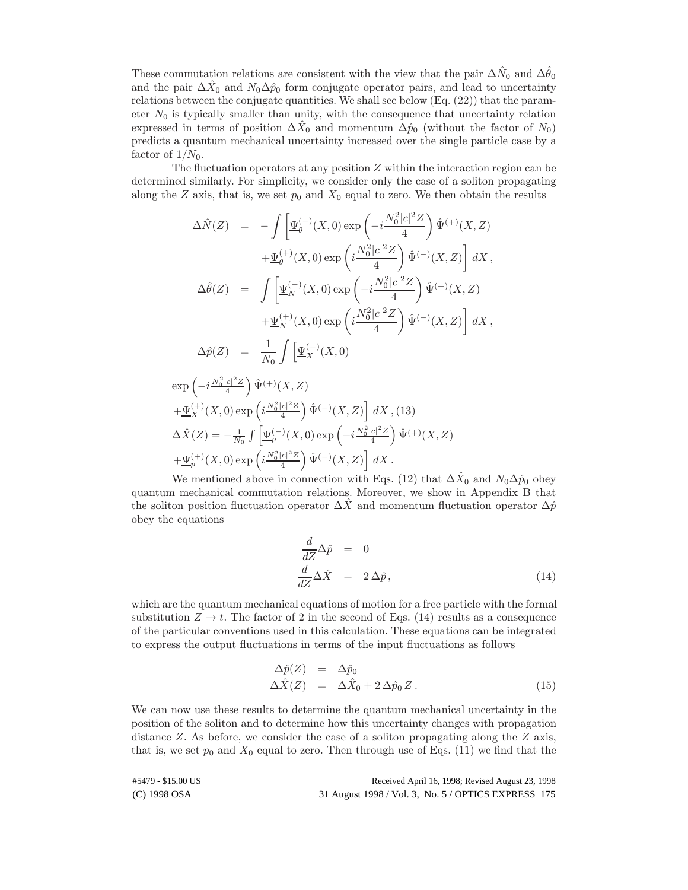These commutation relations are consistent with the view that the pair  $\Delta\hat{N}_0$  and  $\Delta\hat{\theta}_0$ and the pair  $\Delta \hat{X}_0$  and  $N_0 \Delta \hat{p}_0$  form conjugate operator pairs, and lead to uncertainty relations between the conjugate quantities. We shall see below (Eq. (22)) that the parameter  $N_0$  is typically smaller than unity, with the consequence that uncertainty relation expressed in terms of position  $\Delta X_0$  and momentum  $\Delta \hat{p}_0$  (without the factor of  $N_0$ ) predicts a quantum mechanical uncertainty increased over the single particle case by a factor of  $1/N_0$ .

The fluctuation operators at any position  $Z$  within the interaction region can be determined similarly. For simplicity, we consider only the case of a soliton propagating along the Z axis, that is, we set  $p_0$  and  $X_0$  equal to zero. We then obtain the results

$$
\Delta \hat{N}(Z) = -\int \left[ \underline{\Psi}_{\theta}^{(-)}(X,0) \exp\left(-i\frac{N_0^2|c|^2 Z}{4}\right) \hat{\Psi}^{(+)}(X,Z) \right. \left. + \underline{\Psi}_{\theta}^{(+)}(X,0) \exp\left(i\frac{N_0^2|c|^2 Z}{4}\right) \hat{\Psi}^{(-)}(X,Z) \right] dX ,
$$
\n
$$
\Delta \hat{\theta}(Z) = \int \left[ \underline{\Psi}_{N}^{(-)}(X,0) \exp\left(-i\frac{N_0^2|c|^2 Z}{4}\right) \hat{\Psi}^{(+)}(X,Z) \right. \left. + \underline{\Psi}_{N}^{(+)}(X,0) \exp\left(i\frac{N_0^2|c|^2 Z}{4}\right) \hat{\Psi}^{(-)}(X,Z) \right] dX ,
$$
\n
$$
\Delta \hat{p}(Z) = \frac{1}{N_0} \int \left[ \underline{\Psi}_{X}^{(-)}(X,0) \right.
$$
\n
$$
\exp\left(-i\frac{N_0^2|c|^2 Z}{4}\right) \hat{\Psi}^{(+)}(X,Z) \n+ \underline{\Psi}_{X}^{(+)}(X,0) \exp\left(i\frac{N_0^2|c|^2 Z}{4}\right) \hat{\Psi}^{(-)}(X,Z) \right] dX ,
$$
\n
$$
\Delta \hat{X}(Z) = -\frac{1}{N_0} \int \left[ \underline{\Psi}_{p}^{(-)}(X,0) \exp\left(-i\frac{N_0^2|c|^2 Z}{4}\right) \hat{\Psi}^{(+)}(X,Z) \right. \n+ \underline{\Psi}_{p}^{(+)}(X,0) \exp\left(i\frac{N_0^2|c|^2 Z}{4}\right) \hat{\Psi}^{(-)}(X,Z) \right] dX .
$$

We mentioned above in connection with Eqs. (12) that  $\Delta \hat{X}_0$  and  $N_0\Delta \hat{p}_0$  obey quantum mechanical commutation relations. Moreover, we show in Appendix B that the soliton position fluctuation operator  $\Delta \hat{X}$  and momentum fluctuation operator  $\Delta \hat{p}$ obey the equations

$$
\frac{d}{dZ}\Delta\hat{p} = 0
$$
\n
$$
\frac{d}{dZ}\Delta\hat{X} = 2\Delta\hat{p},
$$
\n(14)

which are the quantum mechanical equations of motion for a free particle with the formal substitution  $Z \to t$ . The factor of 2 in the second of Eqs. (14) results as a consequence of the particular conventions used in this calculation. These equations can be integrated to express the output fluctuations in terms of the input fluctuations as follows

$$
\Delta \hat{p}(Z) = \Delta \hat{p}_0 \n\Delta \hat{X}(Z) = \Delta \hat{X}_0 + 2 \Delta \hat{p}_0 Z.
$$
\n(15)

We can now use these results to determine the quantum mechanical uncertainty in the position of the soliton and to determine how this uncertainty changes with propagation distance Z. As before, we consider the case of a soliton propagating along the Z axis, that is, we set  $p_0$  and  $X_0$  equal to zero. Then through use of Eqs. (11) we find that the

(C) 1998 OSA 31 August 1998 / Vol. 3, No. 5 / OPTICS EXPRESS 175 #5479 - \$15.00 US Received April 16, 1998; Revised August 23, 1998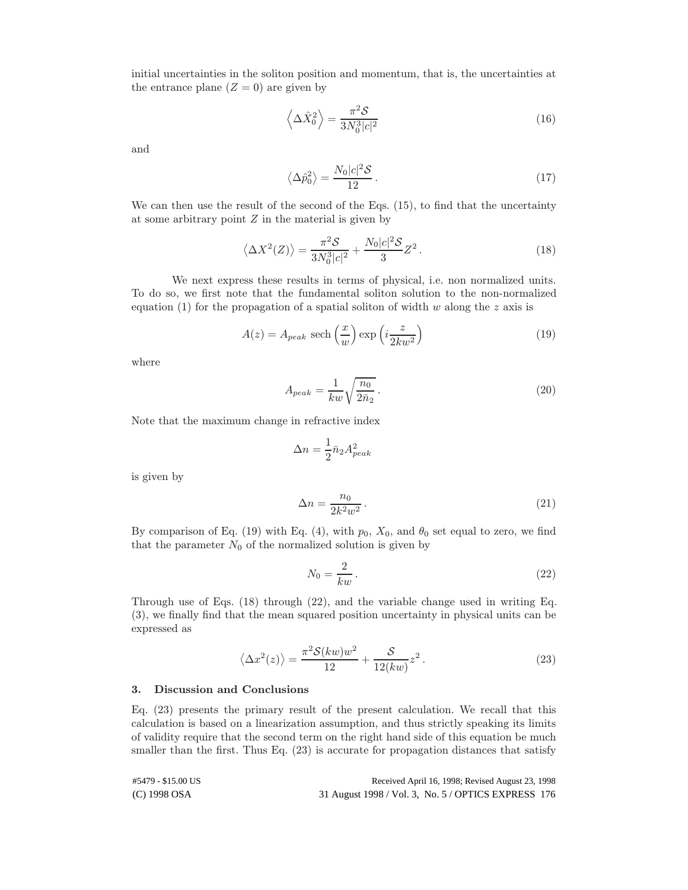initial uncertainties in the soliton position and momentum, that is, the uncertainties at the entrance plane  $(Z = 0)$  are given by

$$
\left\langle \Delta \hat{X}_0^2 \right\rangle = \frac{\pi^2 \mathcal{S}}{3N_0^3 |c|^2} \tag{16}
$$

and

$$
\left\langle \Delta \hat{p}_0^2 \right\rangle = \frac{N_0 |c|^2 \mathcal{S}}{12} \,. \tag{17}
$$

We can then use the result of the second of the Eqs.  $(15)$ , to find that the uncertainty at some arbitrary point  $Z$  in the material is given by

$$
\langle \Delta X^2(Z) \rangle = \frac{\pi^2 \mathcal{S}}{3N_0^3|c|^2} + \frac{N_0|c|^2 \mathcal{S}}{3}Z^2. \tag{18}
$$

We next express these results in terms of physical, i.e. non normalized units. To do so, we first note that the fundamental soliton solution to the non-normalized equation (1) for the propagation of a spatial soliton of width  $w$  along the  $z$  axis is

$$
A(z) = A_{peak} \text{ sech}\left(\frac{x}{w}\right) \exp\left(i\frac{z}{2kw^2}\right) \tag{19}
$$

where

$$
A_{peak} = \frac{1}{kw} \sqrt{\frac{n_0}{2\bar{n}_2}}.
$$
\n(20)

Note that the maximum change in refractive index

$$
\Delta n = \frac{1}{2} \bar{n}_2 A_{peak}^2
$$

is given by

$$
\Delta n = \frac{n_0}{2k^2 w^2} \,. \tag{21}
$$

By comparison of Eq. (19) with Eq. (4), with  $p_0$ ,  $X_0$ , and  $\theta_0$  set equal to zero, we find that the parameter  $N_0$  of the normalized solution is given by

$$
N_0 = \frac{2}{kw} \,. \tag{22}
$$

Through use of Eqs. (18) through (22), and the variable change used in writing Eq. (3), we finally find that the mean squared position uncertainty in physical units can be expressed as

$$
\langle \Delta x^2(z) \rangle = \frac{\pi^2 \mathcal{S}(kw)w^2}{12} + \frac{\mathcal{S}}{12(kw)} z^2.
$$
 (23)

# 3. Discussion and Conclusions

Eq. (23) presents the primary result of the present calculation. We recall that this calculation is based on a linearization assumption, and thus strictly speaking its limits of validity require that the second term on the right hand side of this equation be much smaller than the first. Thus Eq.  $(23)$  is accurate for propagation distances that satisfy

| #5479 - \$15.00 US | Received April 16, 1998; Revised August 23, 1998    |
|--------------------|-----------------------------------------------------|
| (C) 1998 OSA       | 31 August 1998 / Vol. 3, No. 5 / OPTICS EXPRESS 176 |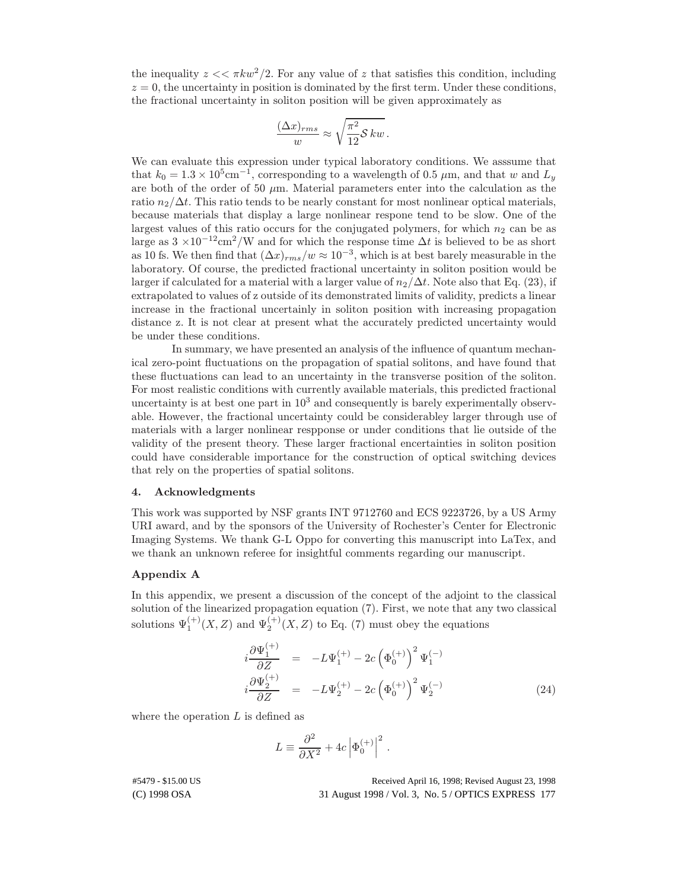the inequality  $z \ll \pi k w^2/2$ . For any value of z that satisfies this condition, including  $z = 0$ , the uncertainty in position is dominated by the first term. Under these conditions, the fractional uncertainty in soliton position will be given approximately as

$$
\frac{(\Delta x)_{rms}}{w} \approx \sqrt{\frac{\pi^2}{12} S k w}.
$$

We can evaluate this expression under typical laboratory conditions. We asssume that that  $k_0 = 1.3 \times 10^5$  cm<sup>-1</sup>, corresponding to a wavelength of 0.5  $\mu$ m, and that w and  $L_y$ are both of the order of 50  $\mu$ m. Material parameters enter into the calculation as the ratio  $n_2/\Delta t$ . This ratio tends to be nearly constant for most nonlinear optical materials, because materials that display a large nonlinear respone tend to be slow. One of the largest values of this ratio occurs for the conjugated polymers, for which  $n_2$  can be as large as  $3 \times 10^{-12}$ cm<sup>2</sup>/W and for which the response time  $\Delta t$  is believed to be as short as 10 fs. We then find that  $(\Delta x)_{rms}/w \approx 10^{-3}$ , which is at best barely measurable in the laboratory. Of course, the predicted fractional uncertainty in soliton position would be larger if calculated for a material with a larger value of  $n_2/\Delta t$ . Note also that Eq. (23), if extrapolated to values of z outside of its demonstrated limits of validity, predicts a linear increase in the fractional uncertainly in soliton position with increasing propagation distance z. It is not clear at present what the accurately predicted uncertainty would be under these conditions.

In summary, we have presented an analysis of the influence of quantum mechanical zero-point fluctuations on the propagation of spatial solitons, and have found that these fluctuations can lead to an uncertainty in the transverse position of the soliton. For most realistic conditions with currently available materials, this predicted fractional uncertainty is at best one part in  $10<sup>3</sup>$  and consequently is barely experimentally observable. However, the fractional uncertainty could be considerabley larger through use of materials with a larger nonlinear respponse or under conditions that lie outside of the validity of the present theory. These larger fractional encertainties in soliton position could have considerable importance for the construction of optical switching devices that rely on the properties of spatial solitons.

#### 4. Acknowledgments

This work was supported by NSF grants INT 9712760 and ECS 9223726, by a US Army URI award, and by the sponsors of the University of Rochester's Center for Electronic Imaging Systems. We thank G-L Oppo for converting this manuscript into LaTex, and we thank an unknown referee for insightful comments regarding our manuscript.

## Appendix A

In this appendix, we present a discussion of the concept of the adjoint to the classical solution of the linearized propagation equation (7). First, we note that any two classical solutions  $\Psi_1^{(+)}(X,Z)$  and  $\Psi_2^{(+)}(X,Z)$  to Eq. (7) must obey the equations

$$
i\frac{\partial \Psi_1^{(+)}}{\partial Z} = -L\Psi_1^{(+)} - 2c \left(\Phi_0^{(+)}\right)^2 \Psi_1^{(-)}
$$
  

$$
i\frac{\partial \Psi_2^{(+)}}{\partial Z} = -L\Psi_2^{(+)} - 2c \left(\Phi_0^{(+)}\right)^2 \Psi_2^{(-)}
$$
 (24)

where the operation  $L$  is defined as

$$
L \equiv \frac{\partial^2}{\partial X^2} + 4c\left|\Phi_0^{(+)}\right|^2\,.
$$

#5479 - \$15.00 US Received April 16, 1998; Revised August 23, 1998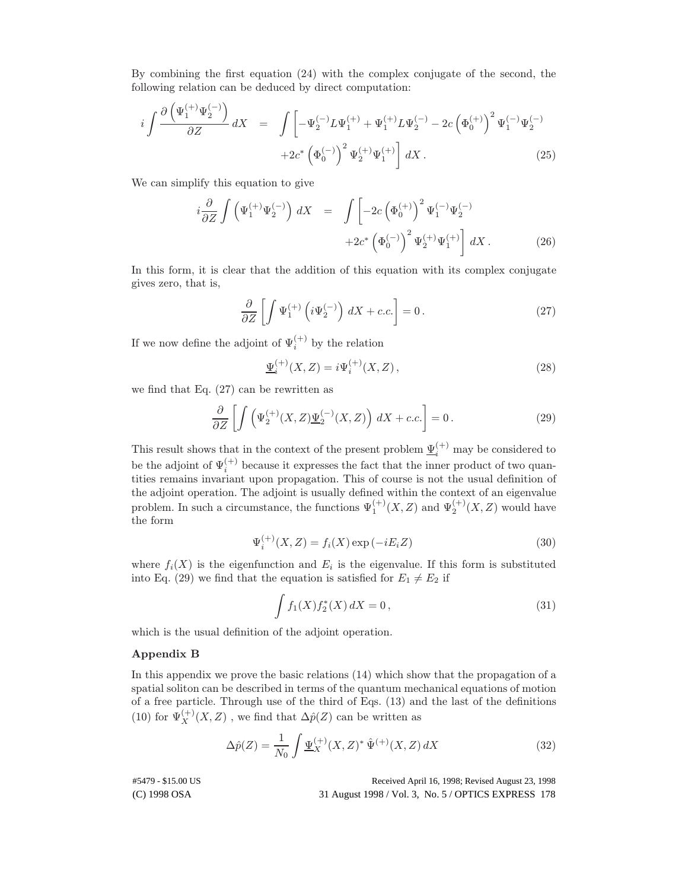By combining the first equation (24) with the complex conjugate of the second, the following relation can be deduced by direct computation:

$$
i\int \frac{\partial \left(\Psi_1^{(+)}\Psi_2^{(-)}\right)}{\partial Z} dX = \int \left[ -\Psi_2^{(-)}L\Psi_1^{(+)} + \Psi_1^{(+)}L\Psi_2^{(-)} - 2c\left(\Phi_0^{(+)}\right)^2\Psi_1^{(-)}\Psi_2^{(-)} + 2c^*\left(\Phi_0^{(-)}\right)^2\Psi_2^{(+)}\Psi_1^{(+)} \right] dX.
$$
 (25)

We can simplify this equation to give

$$
i\frac{\partial}{\partial Z} \int \left( \Psi_1^{(+)} \Psi_2^{(-)} \right) dX = \int \left[ -2c \left( \Phi_0^{(+)} \right)^2 \Psi_1^{(-)} \Psi_2^{(-)} + 2c^* \left( \Phi_0^{(-)} \right)^2 \Psi_2^{(+)} \Psi_1^{(+)} \right] dX.
$$
 (26)

In this form, it is clear that the addition of this equation with its complex conjugate gives zero, that is,

$$
\frac{\partial}{\partial Z} \left[ \int \Psi_1^{(+)} \left( i \Psi_2^{(-)} \right) dX + c.c. \right] = 0. \tag{27}
$$

If we now define the adjoint of  $\Psi_i^{(+)}$  by the relation

$$
\underline{\Psi}_i^{(+)}(X,Z) = i\Psi_i^{(+)}(X,Z)\,,\tag{28}
$$

we find that Eq. (27) can be rewritten as

$$
\frac{\partial}{\partial Z} \left[ \int \left( \Psi_2^{(+)}(X, Z) \underline{\Psi}_2^{(-)}(X, Z) \right) dX + c.c. \right] = 0. \tag{29}
$$

This result shows that in the context of the present problem  $\underline{\Psi}_{i}^{(+)}$  may be considered to be the adjoint of  $\Psi_i^{(+)}$  because it expresses the fact that the inner product of two quantities remains invariant upon propagation. This of course is not the usual definition of the adjoint operation. The adjoint is usually defined within the context of an eigenvalue problem. In such a circumstance, the functions  $\Psi_1^{(+)}(X,Z)$  and  $\Psi_2^{(+)}(X,Z)$  would have the form

$$
\Psi_i^{(+)}(X, Z) = f_i(X) \exp(-iE_i Z)
$$
\n(30)

where  $f_i(X)$  is the eigenfunction and  $E_i$  is the eigenvalue. If this form is substituted into Eq. (29) we find that the equation is satisfied for  $E_1 \neq E_2$  if

$$
\int f_1(X) f_2^*(X) \, dX = 0 \,, \tag{31}
$$

which is the usual definition of the adjoint operation.

# Appendix B

In this appendix we prove the basic relations (14) which show that the propagation of a spatial soliton can be described in terms of the quantum mechanical equations of motion of a free particle. Through use of the third of Eqs. (13) and the last of the definitions (10) for  $\Psi_X^{(+)}(X,Z)$ , we find that  $\Delta \hat{p}(Z)$  can be written as

$$
\Delta \hat{p}(Z) = \frac{1}{N_0} \int \underline{\Psi}_X^{(+)}(X, Z)^* \hat{\Psi}^{(+)}(X, Z) dX \tag{32}
$$

#5479 - \$15.00 US Received April 16, 1998; Revised August 23, 1998